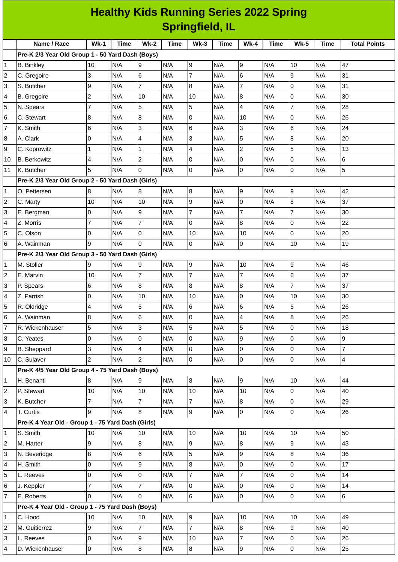| <b>Healthy Kids Running Series 2022 Spring</b> |                                                   |                          |      |                |      |                  |      |                 |      |                 |      |                     |
|------------------------------------------------|---------------------------------------------------|--------------------------|------|----------------|------|------------------|------|-----------------|------|-----------------|------|---------------------|
| <b>Springfield, IL</b>                         |                                                   |                          |      |                |      |                  |      |                 |      |                 |      |                     |
|                                                | Name / Race                                       | <b>Wk-1</b>              | Time | Wk-2           | Time | $Wk-3$           | Time | <b>Wk-4</b>     | Time | <b>Wk-5</b>     | Time | <b>Total Points</b> |
|                                                | Pre-K 2/3 Year Old Group 1 - 50 Yard Dash (Boys)  |                          |      |                |      |                  |      |                 |      |                 |      |                     |
| 1                                              | <b>B.</b> Binkley                                 | 10                       | N/A  | 9              | N/A  | 9                | N/A  | 9               | N/A  | 10              | N/A  | 47                  |
| $\overline{c}$                                 | C. Gregoire                                       | 3                        | N/A  | 6              | N/A  | $\overline{7}$   | N/A  | 6               | N/A  | 9               | N/A  | 31                  |
| 3                                              | S. Butcher                                        | 9                        | N/A  | $\overline{7}$ | N/A  | 8                | N/A  | $\overline{7}$  | N/A  | $\overline{0}$  | N/A  | 31                  |
| 4                                              | B. Gregoire                                       | $\overline{c}$           | N/A  | 10             | N/A  | 10               | N/A  | 8               | N/A  | $\overline{0}$  | N/A  | 30                  |
| $\overline{5}$                                 | N. Spears                                         | $\overline{7}$           | N/A  | 5              | N/A  | 5                | N/A  | 4               | N/A  | $\overline{7}$  | N/A  | 28                  |
| 6                                              | C. Stewart                                        | 8                        | N/A  | 8              | N/A  | 0                | N/A  | 10              | N/A  | $\Omega$        | N/A  | 26                  |
| $\overline{7}$                                 | K. Smith                                          | 6                        | N/A  | 3              | N/A  | 6                | N/A  | 3               | N/A  | 6               | N/A  | 24                  |
| 8                                              | A. Clark                                          | $\overline{0}$           | N/A  | 4              | N/A  | 3                | N/A  | 5               | N/A  | 8               | N/A  | 20                  |
| 9                                              | C. Koprowitz                                      | $\mathbf 1$              | N/A  | $\mathbf 1$    | N/A  | 4                | N/A  | $\overline{c}$  | N/A  | 5               | N/A  | 13                  |
| 10                                             | <b>B.</b> Berkowitz                               | 4                        | N/A  | $\overline{c}$ | N/A  | 0                | N/A  | 0               | N/A  | $\overline{0}$  | N/A  | $\,6$               |
| 11                                             | K. Butcher                                        | 5                        | N/A  | l0             | N/A  | $\overline{0}$   | N/A  | 0               | N/A  | $\overline{0}$  | N/A  | 5                   |
|                                                | Pre-K 2/3 Year Old Group 2 - 50 Yard Dash (Girls) |                          |      |                |      |                  |      |                 |      |                 |      |                     |
| $\mathbf 1$                                    | O. Pettersen                                      | 8                        | N/A  | 8              | N/A  | $\boldsymbol{8}$ | N/A  | 9               | N/A  | $\mathsf g$     | N/A  | 42                  |
| $\overline{c}$                                 | C. Marty                                          | 10                       | N/A  | 10             | N/A  | 9                | N/A  | 0               | N/A  | 8               | N/A  | 37                  |
| 3                                              | E. Bergman                                        | 0                        | N/A  | 9              | N/A  | 7                | N/A  | $\overline{7}$  | N/A  | $\overline{7}$  | N/A  | 30                  |
| 4                                              | Z. Morris                                         | $\overline{7}$           | N/A  | $\overline{7}$ | N/A  | 0                | N/A  | 8               | N/A  | $\overline{0}$  | N/A  | 22                  |
| 5                                              | C. Olson                                          | 0                        | N/A  | 0              | N/A  | 10               | N/A  | 10              | N/A  | $\Omega$        | N/A  | 20                  |
| 6                                              | A. Wainman                                        | 9                        | N/A  | $\overline{0}$ | N/A  | 0                | N/A  | 0               | N/A  | 10              | N/A  | 19                  |
|                                                | Pre-K 2/3 Year Old Group 3 - 50 Yard Dash (Girls) |                          |      |                |      |                  |      |                 |      |                 |      |                     |
| $\mathbf{1}$                                   | M. Stoller                                        | 9                        | N/A  | 9              | N/A  | 9                | N/A  | 10              | N/A  | 9               | N/A  | 46                  |
| $\overline{c}$                                 | E. Marvin                                         | 10                       | N/A  | $\overline{7}$ | N/A  | $\overline{7}$   | N/A  | $\overline{7}$  | N/A  | $6\overline{6}$ | N/A  | 37                  |
| 3                                              | P. Spears                                         | 6                        | N/A  | 8              | N/A  | 8                | N/A  | 8               | N/A  | $\overline{7}$  | N/A  | 37                  |
| 4                                              | Z. Parrish                                        | $\overline{0}$           | N/A  | 10             | N/A  | 10               | N/A  | 0               | N/A  | 10              | N/A  | 30                  |
| 5                                              | R. Oldridge                                       | $\overline{\mathcal{A}}$ | N/A  | 5              | N/A  | 6                | N/A  | $6\phantom{.}6$ | N/A  | 5               | N/A  | 26                  |
| 6                                              | A. Wainman                                        | $\, 8$                   | N/A  | 6              | N/A  | 0                | N/A  | 4               | N/A  | 8               | N/A  | 26                  |
| 7                                              | R. Wickenhauser                                   | 5                        | N/A  | $\overline{3}$ | N/A  | 5                | N/A  | 5               | N/A  | $\mathsf{O}$    | N/A  | 18                  |
| 8                                              | C. Yeates                                         | $\mathsf 0$              | N/A  | l0             | N/A  | 0                | N/A  | 9               | N/A  | $\overline{0}$  | N/A  | 9                   |
| 9                                              | <b>B.</b> Sheppard                                | 3                        | N/A  | $\overline{4}$ | N/A  | 0                | N/A  | 0               | N/A  | $\mathsf 0$     | N/A  | $\overline{7}$      |
| 10                                             | C. Sulaver                                        | $\overline{2}$           | N/A  | $\overline{2}$ | N/A  | $\overline{0}$   | N/A  | 0               | N/A  | $\mathbf 0$     | N/A  | $\overline{4}$      |
|                                                | Pre-K 4/5 Year Old Group 4 - 75 Yard Dash (Boys)  |                          |      |                |      |                  |      |                 |      |                 |      |                     |
| $\mathbf{1}$                                   | H. Benanti                                        | $\bf{8}$                 | N/A  | 9              | N/A  | $8\,$            | N/A  | 9               | N/A  | 10              | N/A  | 44                  |
| 2                                              | P. Stewart                                        | 10                       | N/A  | 10             | N/A  | 10               | N/A  | 10              | N/A  | $\mathbf 0$     | N/A  | 40                  |
| 3                                              | K. Butcher                                        | $\overline{7}$           | N/A  | $\overline{7}$ | N/A  | $\overline{7}$   | N/A  | 8               | N/A  | $\mathsf{O}$    | N/A  | 29                  |
| 4                                              | T. Curtis                                         | 9                        | N/A  | 8              | N/A  | 9                | N/A  | 0               | N/A  | $\mathsf 0$     | N/A  | 26                  |
|                                                | Pre-K 4 Year Old - Group 1 - 75 Yard Dash (Girls) |                          |      |                |      |                  |      |                 |      |                 |      |                     |
| $\mathbf{1}$                                   | S. Smith                                          | 10                       | N/A  | 10             | N/A  | 10               | N/A  | 10              | N/A  | 10              | N/A  | 50                  |
| $\overline{c}$                                 | M. Harter                                         | 9                        | N/A  | 8              | N/A  | 9                | N/A  | 8               | N/A  | 9               | N/A  | 43                  |
| 3                                              | N. Beveridge                                      | 8                        | N/A  | 6              | N/A  | 5                | N/A  | 9               | N/A  | 8               | N/A  | 36                  |
| 4                                              | H. Smith                                          | $\mathsf 0$              | N/A  | 9              | N/A  | 8                | N/A  | 0               | N/A  | 0               | N/A  | 17                  |
| 5                                              | L. Reeves                                         | $\mathsf 0$              | N/A  | l0             | N/A  | $\overline{7}$   | N/A  | $\overline{7}$  | N/A  | $\mathbf 0$     | N/A  | 14                  |
| 6                                              | J. Keppler                                        | $\overline{7}$           | N/A  | $\overline{7}$ | N/A  | 0                | N/A  | 0               | N/A  | $\mathsf{O}$    | N/A  | 14                  |
| 7                                              | E. Roberts                                        | $\overline{0}$           | N/A  | l0             | N/A  | $6\phantom{a}$   | N/A  | 0               | N/A  | $\mathsf 0$     | N/A  | $6\overline{6}$     |
|                                                | Pre-K 4 Year Old - Group 1 - 75 Yard Dash (Boys)  |                          |      |                |      |                  |      |                 |      |                 |      |                     |
| 1                                              | C. Hood                                           | 10                       | N/A  | 10             | N/A  | 9                | N/A  | 10              | N/A  | 10              | N/A  | 49                  |
| $\overline{c}$                                 | M. Guitierrez                                     | 9                        | N/A  | $\overline{7}$ | N/A  | $\overline{7}$   | N/A  | 8               | N/A  | 9               | N/A  | 40                  |
| 3                                              | L. Reeves                                         | $\mathsf 0$              | N/A  | g              | N/A  | $10\,$           | N/A  | $\overline{7}$  | N/A  | $\mathsf{O}$    | N/A  | 26                  |
| 4                                              | D. Wickenhauser                                   | $\mathsf{O}\xspace$      | N/A  | $\bf{8}$       | N/A  | $\bf{8}$         | N/A  | 9               | N/A  | 0               | N/A  | 25                  |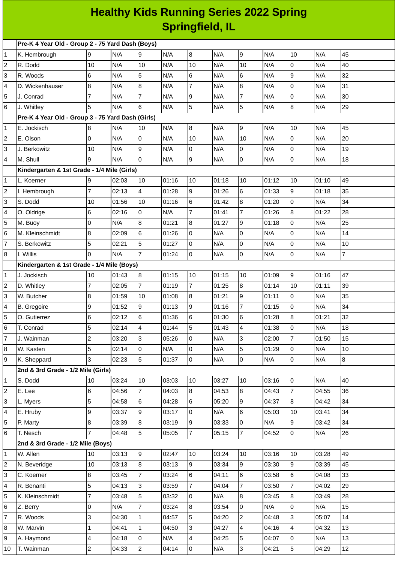## **Healthy Kids Running Series 2022 Spring Springfield, IL**

| Pre-K 4 Year Old - Group 2 - 75 Yard Dash (Boys) |                                                   |                 |       |                         |       |                         |       |                     |       |                |       |                |
|--------------------------------------------------|---------------------------------------------------|-----------------|-------|-------------------------|-------|-------------------------|-------|---------------------|-------|----------------|-------|----------------|
| $\mathbf{1}$                                     | K. Hembrough                                      | 9               | N/A   | 9                       | N/A   | 8                       | N/A   | 9                   | N/A   | 10             | N/A   | 45             |
| $\overline{c}$                                   | R. Dodd                                           | 10              | N/A   | 10                      | N/A   | 10                      | N/A   | 10                  | N/A   | 0              | N/A   | 40             |
| 3                                                | R. Woods                                          | $6\phantom{.}$  | N/A   | 5                       | N/A   | 6                       | N/A   | 6                   | N/A   | 9              | N/A   | 32             |
| 4                                                | D. Wickenhauser                                   | $\, 8$          | N/A   | $\,8\,$                 | N/A   | $\overline{7}$          | N/A   | 8                   | N/A   | 0              | N/A   | 31             |
| 5                                                | J. Conrad                                         | $\overline{7}$  | N/A   | $\overline{7}$          | N/A   | 9                       | N/A   | $\overline{7}$      | N/A   | 0              | N/A   | 30             |
| 6                                                | J. Whitley                                        | 5               | N/A   | $6\phantom{.}$          | N/A   | 5                       | N/A   | 5                   | N/A   | 8              | N/A   | 29             |
|                                                  | Pre-K 4 Year Old - Group 3 - 75 Yard Dash (Girls) |                 |       |                         |       |                         |       |                     |       |                |       |                |
| 1                                                | E. Jockisch                                       | 8               | N/A   | 10                      | N/A   | 8                       | N/A   | 9                   | N/A   | 10             | N/A   | 45             |
| $\overline{c}$                                   | E. Olson                                          | $\overline{0}$  | N/A   | $\overline{0}$          | N/A   | 10                      | N/A   | 10                  | N/A   | 0              | N/A   | 20             |
| 3                                                | J. Berkowitz                                      | 10              | N/A   | 9                       | N/A   | O                       | N/A   | 0                   | N/A   | 0              | N/A   | 19             |
| 4                                                | M. Shull                                          | 9               | N/A   | $\overline{0}$          | N/A   | 9                       | N/A   | 0                   | N/A   | 0              | N/A   | 18             |
|                                                  | Kindergarten & 1st Grade - 1/4 Mile (Girls)       |                 |       |                         |       |                         |       |                     |       |                |       |                |
| 1                                                | L. Koerner                                        | 9               | 02:03 | 10                      | 01:16 | 10                      | 01:18 | 10                  | 01:12 | 10             | 01:10 | 49             |
| 2                                                | I. Hembrough                                      | $\overline{7}$  | 02:13 | 4                       | 01:28 | 9                       | 01:26 | 6                   | 01:33 | 9              | 01:18 | 35             |
| 3                                                | S. Dodd                                           | 10              | 01:56 | 10                      | 01:16 | 6                       | 01:42 | 8                   | 01:20 | 0              | N/A   | 34             |
| 4                                                | O. Oldrige                                        | 6               | 02:16 | $\overline{0}$          | N/A   | $\overline{7}$          | 01:41 | $\overline{7}$      | 01:26 | 8              | 01:22 | 28             |
| 5                                                | M. Buoy                                           | $\overline{0}$  | N/A   | $\bf 8$                 | 01:21 | 8                       | 01:27 | 9                   | 01:18 | 0              | N/A   | 25             |
| 6                                                | M. Kleinschmidt                                   | 8               | 02:09 | $\,6$                   | 01:26 | l0                      | N/A   | 0                   | N/A   | 0              | N/A   | 14             |
| 7                                                | S. Berkowitz                                      | 5               | 02:21 | 5                       | 01:27 | 0                       | N/A   | 0                   | N/A   | 0              | N/A   | 10             |
| 8                                                | I. Willis                                         | $\Omega$        | N/A   | $\overline{7}$          | 01:24 | l0                      | N/A   | $\mathbf 0$         | N/A   | 0              | N/A   | $\overline{7}$ |
|                                                  | Kindergarten & 1st Grade - 1/4 Mile (Boys)        |                 |       |                         |       |                         |       |                     |       |                |       |                |
| 1                                                | J. Jockisch                                       | 10              | 01:43 | $\bf{8}$                | 01:15 | 10                      | 01:15 | 10                  | 01:09 | 9              | 01:16 | 47             |
| $\overline{\mathbf{c}}$                          | D. Whitley                                        | $\overline{7}$  | 02:05 | $\overline{7}$          | 01:19 | $\overline{7}$          | 01:25 | 8                   | 01:14 | 10             | 01:11 | 39             |
| 3                                                | W. Butcher                                        | 8               | 01:59 | 10                      | 01:08 | 8                       | 01:21 | 9                   | 01:11 | 0              | N/A   | 35             |
| 4                                                | <b>B.</b> Gregoire                                | 9               | 01:52 | 9                       | 01:13 | 9                       | 01:16 | $\overline{7}$      | 01:15 | $\Omega$       | N/A   | 34             |
| 5                                                | O. Gutierrez                                      | 6               | 02:12 | $\,6$                   | 01:36 | 6                       | 01:30 | 6                   | 01:28 | 8              | 01:21 | 32             |
| 6                                                | T. Conrad                                         | 5               | 02:14 | $\overline{\mathbf{4}}$ | 01:44 | 5                       | 01:43 | 4                   | 01:38 | 0              | N/A   | 18             |
| $\overline{7}$                                   | J. Wainman                                        | $\overline{c}$  | 03:20 | 3                       | 05:26 | l0                      | N/A   | 3                   | 02:00 | $\overline{7}$ | 01:50 | 15             |
| 8                                                | W. Kasten                                         | 5               | 02:14 | $\overline{0}$          | N/A   | 0                       | N/A   | 5                   | 01:29 | 0              | N/A   | 10             |
| 9                                                | K. Sheppard                                       | $\overline{3}$  | 02:23 | 5                       | 01:37 | l0                      | N/A   | 0                   | N/A   | $\overline{0}$ | N/A   | $\bf{8}$       |
|                                                  | 2nd & 3rd Grade - 1/2 Mile (Girls)                |                 |       |                         |       |                         |       |                     |       |                |       |                |
| 1                                                | S. Dodd                                           | 10              | 03:24 | 10                      | 03:03 | 10                      | 03:27 | 10                  | 03:16 | 0              | N/A   | 40             |
| $\overline{c}$                                   | E. Lee                                            | $6\overline{6}$ | 04:56 | $\overline{7}$          | 04:03 | 8                       | 04:53 | 8                   | 04:43 | $\overline{7}$ | 04:55 | 36             |
| 3                                                | L. Myers                                          | 5               | 04:58 | 6                       | 04:28 | 6                       | 05:20 | 9                   | 04:37 | 8              | 04:42 | 34             |
| 4                                                | E. Hruby                                          | 9               | 03:37 | 9                       | 03:17 | 0                       | N/A   | 6                   | 05:03 | 10             | 03:41 | 34             |
| 5                                                | P. Marty                                          | 8               | 03:39 | $\bf{8}$                | 03:19 | 9                       | 03:33 | $\mathsf{O}\xspace$ | N/A   | 9              | 03:42 | 34             |
| 6                                                | T. Nesch                                          | $\overline{7}$  | 04:48 | 5                       | 05:05 | 7                       | 05:15 | $\overline{7}$      | 04:52 | $\overline{0}$ | N/A   | 26             |
|                                                  | 2nd & 3rd Grade - 1/2 Mile (Boys)                 |                 |       |                         |       |                         |       |                     |       |                |       |                |
| 1                                                | W. Allen                                          | 10              | 03:13 | 9                       | 02:47 | 10                      | 03:24 | 10                  | 03:16 | 10             | 03:28 | 49             |
| $\overline{c}$                                   | N. Beveridge                                      | 10              | 03:13 | 8                       | 03:13 | 9                       | 03:34 | 9                   | 03:30 | 9              | 03:39 | 45             |
| 3                                                | C. Koerner                                        | 8               | 03:45 | $\overline{7}$          | 03:24 | 6                       | 04:11 | 6                   | 03:58 | 6              | 04:08 | 33             |
| 4                                                | R. Benanti                                        | 5               | 04:13 | $\overline{3}$          | 03:59 | $\overline{7}$          | 04:04 | $\overline{7}$      | 03:50 | $\overline{7}$ | 04:02 | 29             |
| 5                                                | K. Kleinschmidt                                   | $\overline{7}$  | 03:48 | 5                       | 03:32 | 0                       | N/A   | 8                   | 03:45 | 8              | 03:49 | 28             |
| 6                                                | Z. Berry                                          | $\overline{0}$  | N/A   | $\overline{7}$          | 03:24 | 8                       | 03:54 | $\mathbf 0$         | N/A   | 0              | N/A   | 15             |
| $\overline{7}$                                   | R. Woods                                          | 3               | 04:30 | $\mathbf{1}$            | 04:57 | 5                       | 04:20 | 2                   | 04:48 | 3              | 05:07 | 14             |
| 8                                                | W. Marvin                                         | $\mathbf 1$     | 04:41 | $\mathbf{1}$            | 04:50 | $\overline{3}$          | 04:27 | 4                   | 04:16 | 4              | 04:32 | 13             |
| 9                                                | A. Haymond                                        | 4               | 04:18 | $\overline{0}$          | N/A   | $\overline{\mathbf{4}}$ | 04:25 | 5                   | 04:07 | 0              | N/A   | 13             |
| 10                                               | T. Wainman                                        | $\overline{2}$  | 04:33 | $\overline{2}$          | 04:14 | l0                      | N/A   | 3                   | 04:21 | 5              | 04:29 | 12             |
|                                                  |                                                   |                 |       |                         |       |                         |       |                     |       |                |       |                |